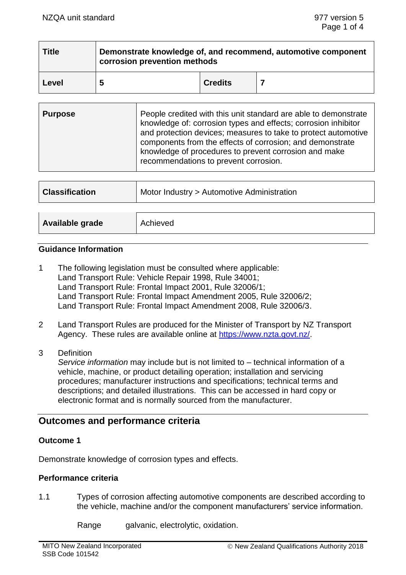| <b>Title</b> | Demonstrate knowledge of, and recommend, automotive component<br>corrosion prevention methods |                |  |
|--------------|-----------------------------------------------------------------------------------------------|----------------|--|
| Level        | 5                                                                                             | <b>Credits</b> |  |

| <b>Purpose</b> | People credited with this unit standard are able to demonstrate<br>knowledge of: corrosion types and effects; corrosion inhibitor<br>and protection devices; measures to take to protect automotive<br>components from the effects of corrosion; and demonstrate<br>knowledge of procedures to prevent corrosion and make<br>recommendations to prevent corrosion. |
|----------------|--------------------------------------------------------------------------------------------------------------------------------------------------------------------------------------------------------------------------------------------------------------------------------------------------------------------------------------------------------------------|
|----------------|--------------------------------------------------------------------------------------------------------------------------------------------------------------------------------------------------------------------------------------------------------------------------------------------------------------------------------------------------------------------|

| <b>Classification</b> | Motor Industry > Automotive Administration |  |
|-----------------------|--------------------------------------------|--|
|                       |                                            |  |
| Available grade       | Achieved                                   |  |

## **Guidance Information**

- 1 The following legislation must be consulted where applicable: Land Transport Rule: Vehicle Repair 1998, Rule 34001; Land Transport Rule: Frontal Impact 2001, Rule 32006/1; Land Transport Rule: Frontal Impact Amendment 2005, Rule 32006/2; Land Transport Rule: Frontal Impact Amendment 2008, Rule 32006/3.
- 2 Land Transport Rules are produced for the Minister of Transport by NZ Transport Agency. These rules are available online at [https://www.nzta.govt.nz/.](https://www.nzta.govt.nz/)
- 3 Definition

*Service information* may include but is not limited to – technical information of a vehicle, machine, or product detailing operation; installation and servicing procedures; manufacturer instructions and specifications; technical terms and descriptions; and detailed illustrations. This can be accessed in hard copy or electronic format and is normally sourced from the manufacturer.

# **Outcomes and performance criteria**

## **Outcome 1**

Demonstrate knowledge of corrosion types and effects.

## **Performance criteria**

- 1.1 Types of corrosion affecting automotive components are described according to the vehicle, machine and/or the component manufacturers' service information.
	- Range galvanic, electrolytic, oxidation.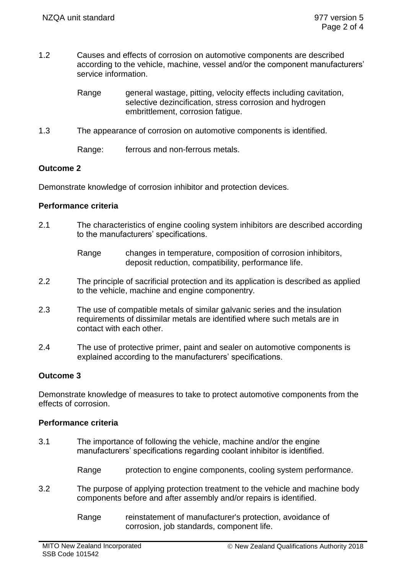- 1.2 Causes and effects of corrosion on automotive components are described according to the vehicle, machine, vessel and/or the component manufacturers' service information.
	- Range general wastage, pitting, velocity effects including cavitation, selective dezincification, stress corrosion and hydrogen embrittlement, corrosion fatigue.
- 1.3 The appearance of corrosion on automotive components is identified.

Range: ferrous and non-ferrous metals.

## **Outcome 2**

Demonstrate knowledge of corrosion inhibitor and protection devices.

#### **Performance criteria**

2.1 The characteristics of engine cooling system inhibitors are described according to the manufacturers' specifications.

- 2.2 The principle of sacrificial protection and its application is described as applied to the vehicle, machine and engine componentry.
- 2.3 The use of compatible metals of similar galvanic series and the insulation requirements of dissimilar metals are identified where such metals are in contact with each other.
- 2.4 The use of protective primer, paint and sealer on automotive components is explained according to the manufacturers' specifications.

## **Outcome 3**

Demonstrate knowledge of measures to take to protect automotive components from the effects of corrosion.

#### **Performance criteria**

3.1 The importance of following the vehicle, machine and/or the engine manufacturers' specifications regarding coolant inhibitor is identified.

Range protection to engine components, cooling system performance.

- 3.2 The purpose of applying protection treatment to the vehicle and machine body components before and after assembly and/or repairs is identified.
	- Range reinstatement of manufacturer's protection, avoidance of corrosion, job standards, component life.

Range changes in temperature, composition of corrosion inhibitors, deposit reduction, compatibility, performance life.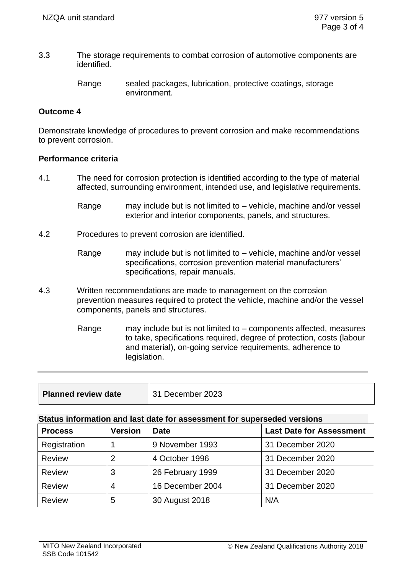3.3 The storage requirements to combat corrosion of automotive components are identified.

#### **Outcome 4**

Demonstrate knowledge of procedures to prevent corrosion and make recommendations to prevent corrosion.

#### **Performance criteria**

- 4.1 The need for corrosion protection is identified according to the type of material affected, surrounding environment, intended use, and legislative requirements.
	- Range may include but is not limited to vehicle, machine and/or vessel exterior and interior components, panels, and structures.
- 4.2 Procedures to prevent corrosion are identified.
	- Range may include but is not limited to vehicle, machine and/or vessel specifications, corrosion prevention material manufacturers' specifications, repair manuals.
- 4.3 Written recommendations are made to management on the corrosion prevention measures required to protect the vehicle, machine and/or the vessel components, panels and structures.
	- Range may include but is not limited to components affected, measures to take, specifications required, degree of protection, costs (labour and material), on-going service requirements, adherence to legislation.

| <b>Planned review date</b> | 31 December 2023 |
|----------------------------|------------------|
|                            |                  |

#### **Status information and last date for assessment for superseded versions**

| <b>Process</b> | <b>Version</b> | <b>Date</b>      | <b>Last Date for Assessment</b> |
|----------------|----------------|------------------|---------------------------------|
| Registration   |                | 9 November 1993  | 31 December 2020                |
| <b>Review</b>  | 2              | 4 October 1996   | 31 December 2020                |
| <b>Review</b>  | 3              | 26 February 1999 | 31 December 2020                |
| <b>Review</b>  | 4              | 16 December 2004 | 31 December 2020                |
| <b>Review</b>  | 5              | 30 August 2018   | N/A                             |

Range sealed packages, lubrication, protective coatings, storage environment.